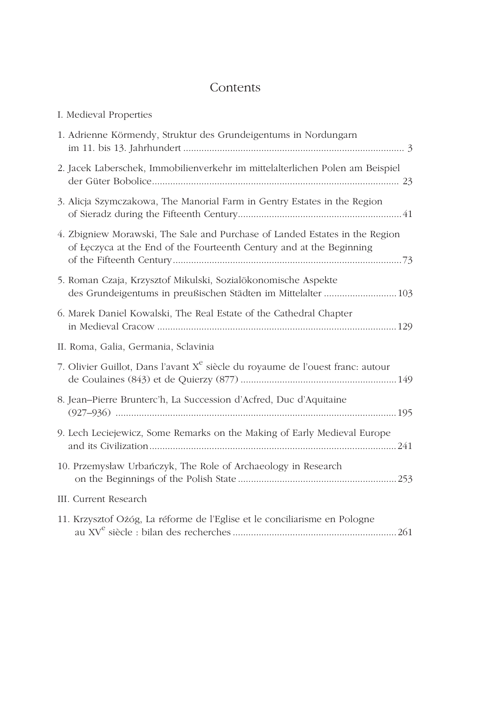## Contents

| I. Medieval Properties                                                                                                                              |
|-----------------------------------------------------------------------------------------------------------------------------------------------------|
| 1. Adrienne Körmendy, Struktur des Grundeigentums in Nordungarn                                                                                     |
| 2. Jacek Laberschek, Immobilienverkehr im mittelalterlichen Polen am Beispiel                                                                       |
| 3. Alicja Szymczakowa, The Manorial Farm in Gentry Estates in the Region                                                                            |
| 4. Zbigniew Morawski, The Sale and Purchase of Landed Estates in the Region<br>of Łęczyca at the End of the Fourteenth Century and at the Beginning |
| 5. Roman Czaja, Krzysztof Mikulski, Sozialökonomische Aspekte<br>des Grundeigentums in preußischen Städten im Mittelalter  103                      |
| 6. Marek Daniel Kowalski, The Real Estate of the Cathedral Chapter                                                                                  |
| II. Roma, Galia, Germania, Sclavinia                                                                                                                |
| 7. Olivier Guillot, Dans l'avant X <sup>e</sup> siècle du royaume de l'ouest franc: autour                                                          |
| 8. Jean-Pierre Brunterc'h, La Succession d'Acfred, Duc d'Aquitaine                                                                                  |
| 9. Lech Leciejewicz, Some Remarks on the Making of Early Medieval Europe                                                                            |
| 10. Przemysław Urbańczyk, The Role of Archaeology in Research                                                                                       |
| III. Current Research                                                                                                                               |
| 11. Krzysztof Ożóg, La réforme de l'Eglise et le conciliarisme en Pologne                                                                           |